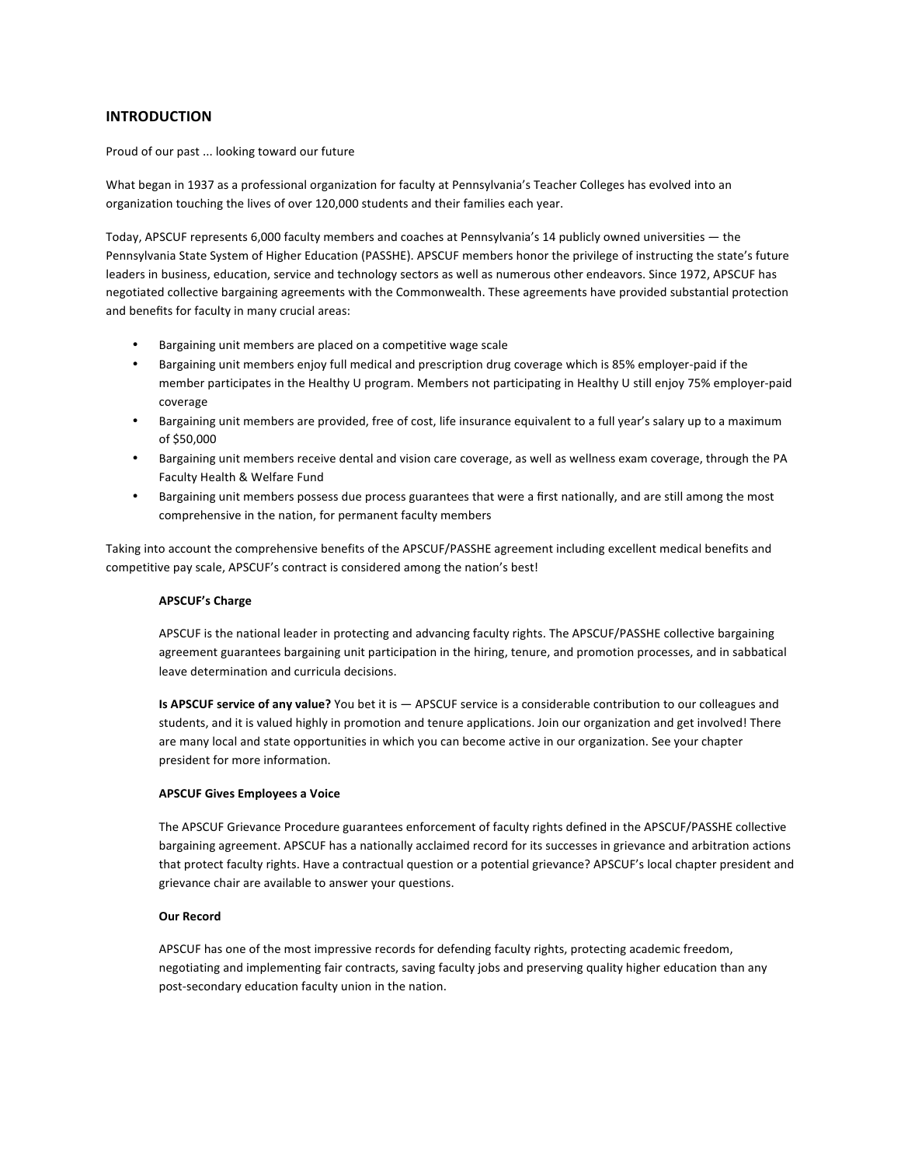# **INTRODUCTION**

Proud of our past ... looking toward our future

What began in 1937 as a professional organization for faculty at Pennsylvania's Teacher Colleges has evolved into an organization touching the lives of over 120,000 students and their families each year.

Today, APSCUF represents 6,000 faculty members and coaches at Pennsylvania's 14 publicly owned universities - the Pennsylvania State System of Higher Education (PASSHE). APSCUF members honor the privilege of instructing the state's future leaders in business, education, service and technology sectors as well as numerous other endeavors. Since 1972, APSCUF has negotiated collective bargaining agreements with the Commonwealth. These agreements have provided substantial protection and benefits for faculty in many crucial areas:

- Bargaining unit members are placed on a competitive wage scale
- Bargaining unit members enjoy full medical and prescription drug coverage which is 85% employer-paid if the member participates in the Healthy U program. Members not participating in Healthy U still enjoy 75% employer-paid coverage
- Bargaining unit members are provided, free of cost, life insurance equivalent to a full year's salary up to a maximum of \$50,000
- Bargaining unit members receive dental and vision care coverage, as well as wellness exam coverage, through the PA Faculty Health & Welfare Fund
- Bargaining unit members possess due process guarantees that were a first nationally, and are still among the most comprehensive in the nation, for permanent faculty members

Taking into account the comprehensive benefits of the APSCUF/PASSHE agreement including excellent medical benefits and competitive pay scale, APSCUF's contract is considered among the nation's best!

## **APSCUF's Charge**

APSCUF is the national leader in protecting and advancing faculty rights. The APSCUF/PASSHE collective bargaining agreement guarantees bargaining unit participation in the hiring, tenure, and promotion processes, and in sabbatical leave determination and curricula decisions.

**Is APSCUF service of any value?** You bet it is — APSCUF service is a considerable contribution to our colleagues and students, and it is valued highly in promotion and tenure applications. Join our organization and get involved! There are many local and state opportunities in which you can become active in our organization. See your chapter president for more information.

## **APSCUF Gives Employees a Voice**

The APSCUF Grievance Procedure guarantees enforcement of faculty rights defined in the APSCUF/PASSHE collective bargaining agreement. APSCUF has a nationally acclaimed record for its successes in grievance and arbitration actions that protect faculty rights. Have a contractual question or a potential grievance? APSCUF's local chapter president and grievance chair are available to answer your questions.

## **Our Record**

APSCUF has one of the most impressive records for defending faculty rights, protecting academic freedom, negotiating and implementing fair contracts, saving faculty jobs and preserving quality higher education than any post-secondary education faculty union in the nation.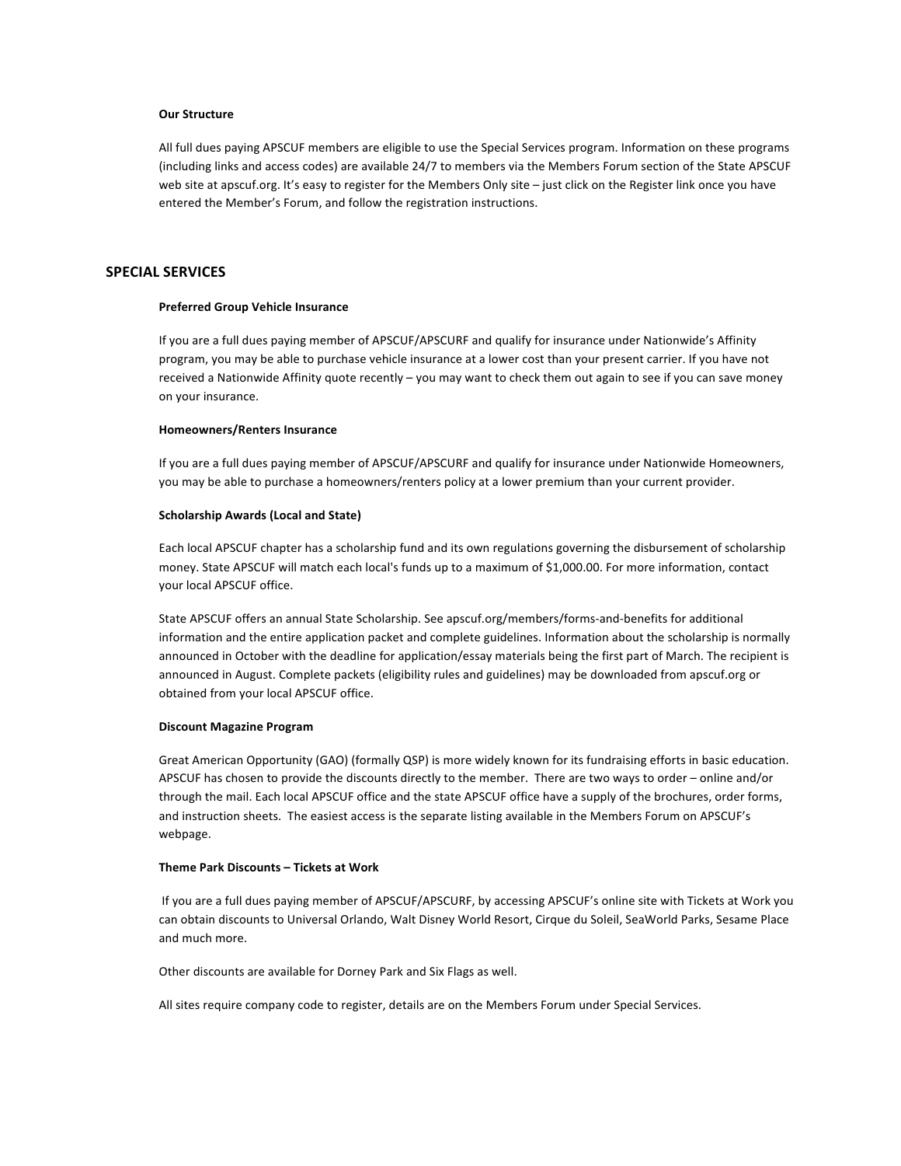## **Our Structure**

All full dues paying APSCUF members are eligible to use the Special Services program. Information on these programs (including links and access codes) are available 24/7 to members via the Members Forum section of the State APSCUF web site at apscuf.org. It's easy to register for the Members Only site - just click on the Register link once you have entered the Member's Forum, and follow the registration instructions.

## **SPECIAL SERVICES**

### **Preferred Group Vehicle Insurance**

If you are a full dues paying member of APSCUF/APSCURF and qualify for insurance under Nationwide's Affinity program, you may be able to purchase vehicle insurance at a lower cost than your present carrier. If you have not received a Nationwide Affinity quote recently – you may want to check them out again to see if you can save money on your insurance.

### **Homeowners/Renters Insurance**

If you are a full dues paying member of APSCUF/APSCURF and qualify for insurance under Nationwide Homeowners, you may be able to purchase a homeowners/renters policy at a lower premium than your current provider.

#### **Scholarship Awards (Local and State)**

Each local APSCUF chapter has a scholarship fund and its own regulations governing the disbursement of scholarship money. State APSCUF will match each local's funds up to a maximum of \$1,000.00. For more information, contact your local APSCUF office.

State APSCUF offers an annual State Scholarship. See apscuf.org/members/forms-and-benefits for additional information and the entire application packet and complete guidelines. Information about the scholarship is normally announced in October with the deadline for application/essay materials being the first part of March. The recipient is announced in August. Complete packets (eligibility rules and guidelines) may be downloaded from apscuf.org or obtained from your local APSCUF office.

### **Discount Magazine Program**

Great American Opportunity (GAO) (formally QSP) is more widely known for its fundraising efforts in basic education. APSCUF has chosen to provide the discounts directly to the member. There are two ways to order - online and/or through the mail. Each local APSCUF office and the state APSCUF office have a supply of the brochures, order forms, and instruction sheets. The easiest access is the separate listing available in the Members Forum on APSCUF's webpage.

## **Theme Park Discounts – Tickets at Work**

If you are a full dues paying member of APSCUF/APSCURF, by accessing APSCUF's online site with Tickets at Work you can obtain discounts to Universal Orlando, Walt Disney World Resort, Cirque du Soleil, SeaWorld Parks, Sesame Place and much more.

Other discounts are available for Dorney Park and Six Flags as well.

All sites require company code to register, details are on the Members Forum under Special Services.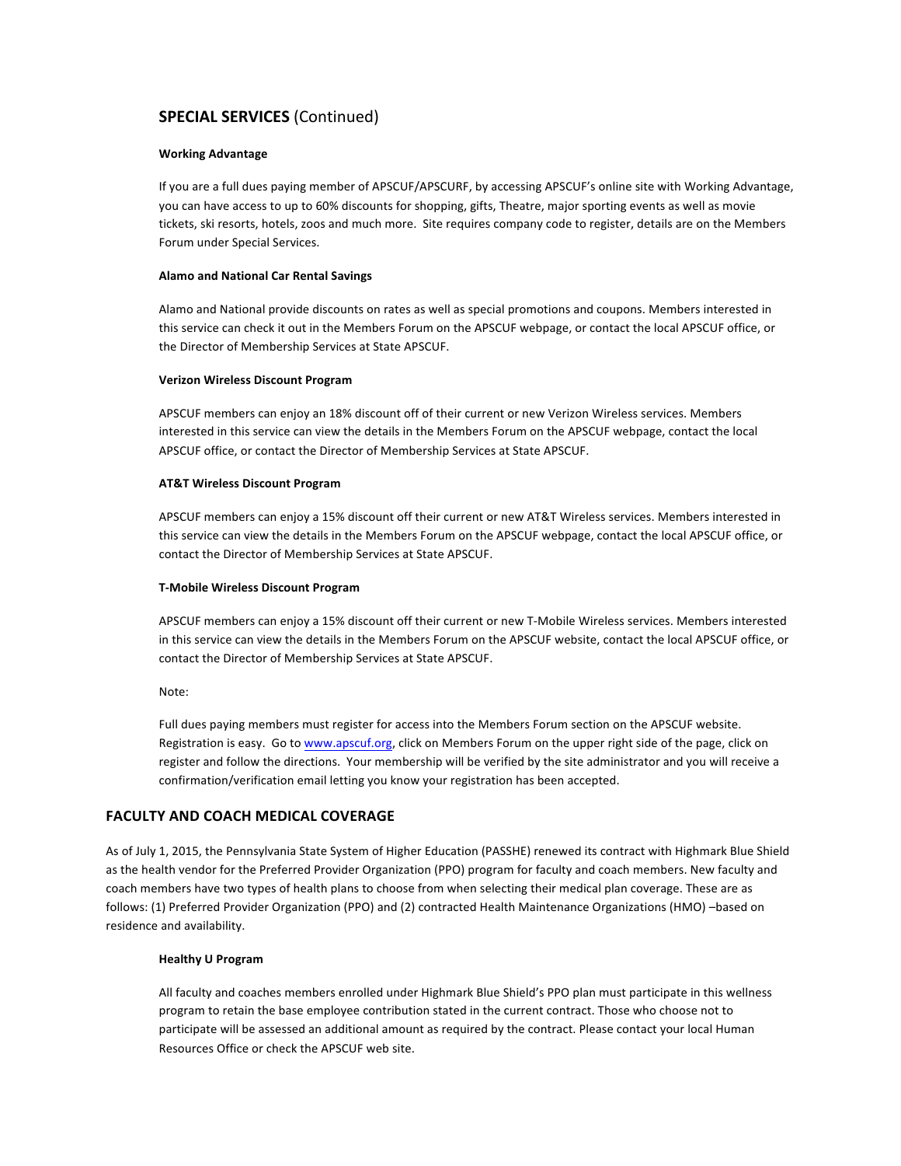# **SPECIAL SERVICES** (Continued)

## **Working Advantage**

If you are a full dues paying member of APSCUF/APSCURF, by accessing APSCUF's online site with Working Advantage, you can have access to up to 60% discounts for shopping, gifts, Theatre, major sporting events as well as movie tickets, ski resorts, hotels, zoos and much more. Site requires company code to register, details are on the Members Forum under Special Services.

## **Alamo and National Car Rental Savings**

Alamo and National provide discounts on rates as well as special promotions and coupons. Members interested in this service can check it out in the Members Forum on the APSCUF webpage, or contact the local APSCUF office, or the Director of Membership Services at State APSCUF.

## **Verizon Wireless Discount Program**

APSCUF members can enjoy an 18% discount off of their current or new Verizon Wireless services. Members interested in this service can view the details in the Members Forum on the APSCUF webpage, contact the local APSCUF office, or contact the Director of Membership Services at State APSCUF.

## **AT&T Wireless Discount Program**

APSCUF members can enjoy a 15% discount off their current or new AT&T Wireless services. Members interested in this service can view the details in the Members Forum on the APSCUF webpage, contact the local APSCUF office, or contact the Director of Membership Services at State APSCUF.

## **T-Mobile Wireless Discount Program**

APSCUF members can enjoy a 15% discount off their current or new T-Mobile Wireless services. Members interested in this service can view the details in the Members Forum on the APSCUF website, contact the local APSCUF office, or contact the Director of Membership Services at State APSCUF.

Note:

Full dues paying members must register for access into the Members Forum section on the APSCUF website. Registration is easy. Go to www.apscuf.org, click on Members Forum on the upper right side of the page, click on register and follow the directions. Your membership will be verified by the site administrator and you will receive a confirmation/verification email letting you know your registration has been accepted.

# **FACULTY AND COACH MEDICAL COVERAGE**

As of July 1, 2015, the Pennsylvania State System of Higher Education (PASSHE) renewed its contract with Highmark Blue Shield as the health vendor for the Preferred Provider Organization (PPO) program for faculty and coach members. New faculty and coach members have two types of health plans to choose from when selecting their medical plan coverage. These are as follows: (1) Preferred Provider Organization (PPO) and (2) contracted Health Maintenance Organizations (HMO) –based on residence and availability.

## **Healthy U Program**

All faculty and coaches members enrolled under Highmark Blue Shield's PPO plan must participate in this wellness program to retain the base employee contribution stated in the current contract. Those who choose not to participate will be assessed an additional amount as required by the contract. Please contact your local Human Resources Office or check the APSCUF web site.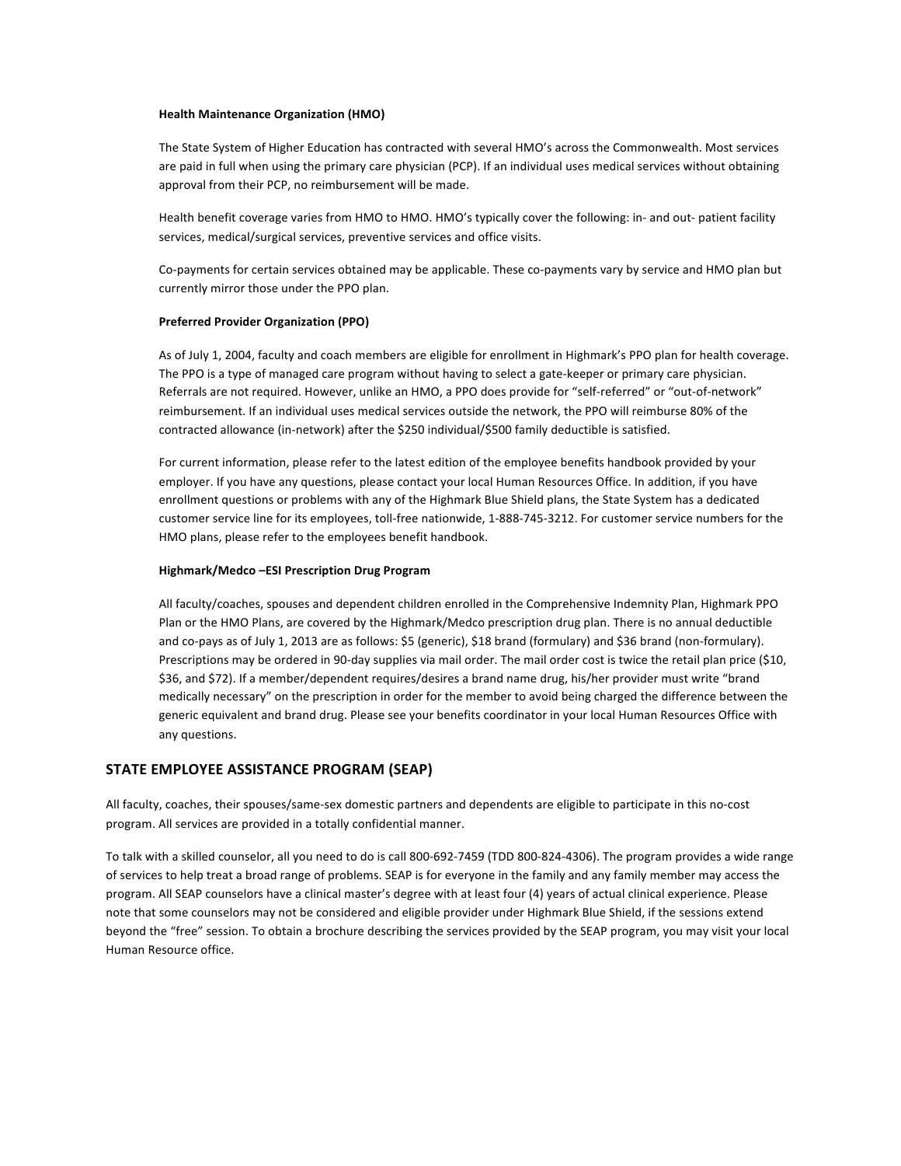### **Health Maintenance Organization (HMO)**

The State System of Higher Education has contracted with several HMO's across the Commonwealth. Most services are paid in full when using the primary care physician (PCP). If an individual uses medical services without obtaining approval from their PCP, no reimbursement will be made.

Health benefit coverage varies from HMO to HMO. HMO's typically cover the following: in- and out- patient facility services, medical/surgical services, preventive services and office visits.

Co-payments for certain services obtained may be applicable. These co-payments vary by service and HMO plan but currently mirror those under the PPO plan.

## **Preferred Provider Organization (PPO)**

As of July 1, 2004, faculty and coach members are eligible for enrollment in Highmark's PPO plan for health coverage. The PPO is a type of managed care program without having to select a gate-keeper or primary care physician. Referrals are not required. However, unlike an HMO, a PPO does provide for "self-referred" or "out-of-network" reimbursement. If an individual uses medical services outside the network, the PPO will reimburse 80% of the contracted allowance (in-network) after the \$250 individual/\$500 family deductible is satisfied.

For current information, please refer to the latest edition of the employee benefits handbook provided by your employer. If you have any questions, please contact your local Human Resources Office. In addition, if you have enrollment questions or problems with any of the Highmark Blue Shield plans, the State System has a dedicated customer service line for its employees, toll-free nationwide, 1-888-745-3212. For customer service numbers for the HMO plans, please refer to the employees benefit handbook.

## **Highmark/Medco –ESI Prescription Drug Program**

All faculty/coaches, spouses and dependent children enrolled in the Comprehensive Indemnity Plan, Highmark PPO Plan or the HMO Plans, are covered by the Highmark/Medco prescription drug plan. There is no annual deductible and co-pays as of July 1, 2013 are as follows: \$5 (generic), \$18 brand (formulary) and \$36 brand (non-formulary). Prescriptions may be ordered in 90-day supplies via mail order. The mail order cost is twice the retail plan price (\$10, \$36, and \$72). If a member/dependent requires/desires a brand name drug, his/her provider must write "brand medically necessary" on the prescription in order for the member to avoid being charged the difference between the generic equivalent and brand drug. Please see your benefits coordinator in your local Human Resources Office with any questions.

# **STATE EMPLOYEE ASSISTANCE PROGRAM (SEAP)**

All faculty, coaches, their spouses/same-sex domestic partners and dependents are eligible to participate in this no-cost program. All services are provided in a totally confidential manner.

To talk with a skilled counselor, all you need to do is call 800-692-7459 (TDD 800-824-4306). The program provides a wide range of services to help treat a broad range of problems. SEAP is for everyone in the family and any family member may access the program. All SEAP counselors have a clinical master's degree with at least four (4) years of actual clinical experience. Please note that some counselors may not be considered and eligible provider under Highmark Blue Shield, if the sessions extend beyond the "free" session. To obtain a brochure describing the services provided by the SEAP program, you may visit your local Human Resource office.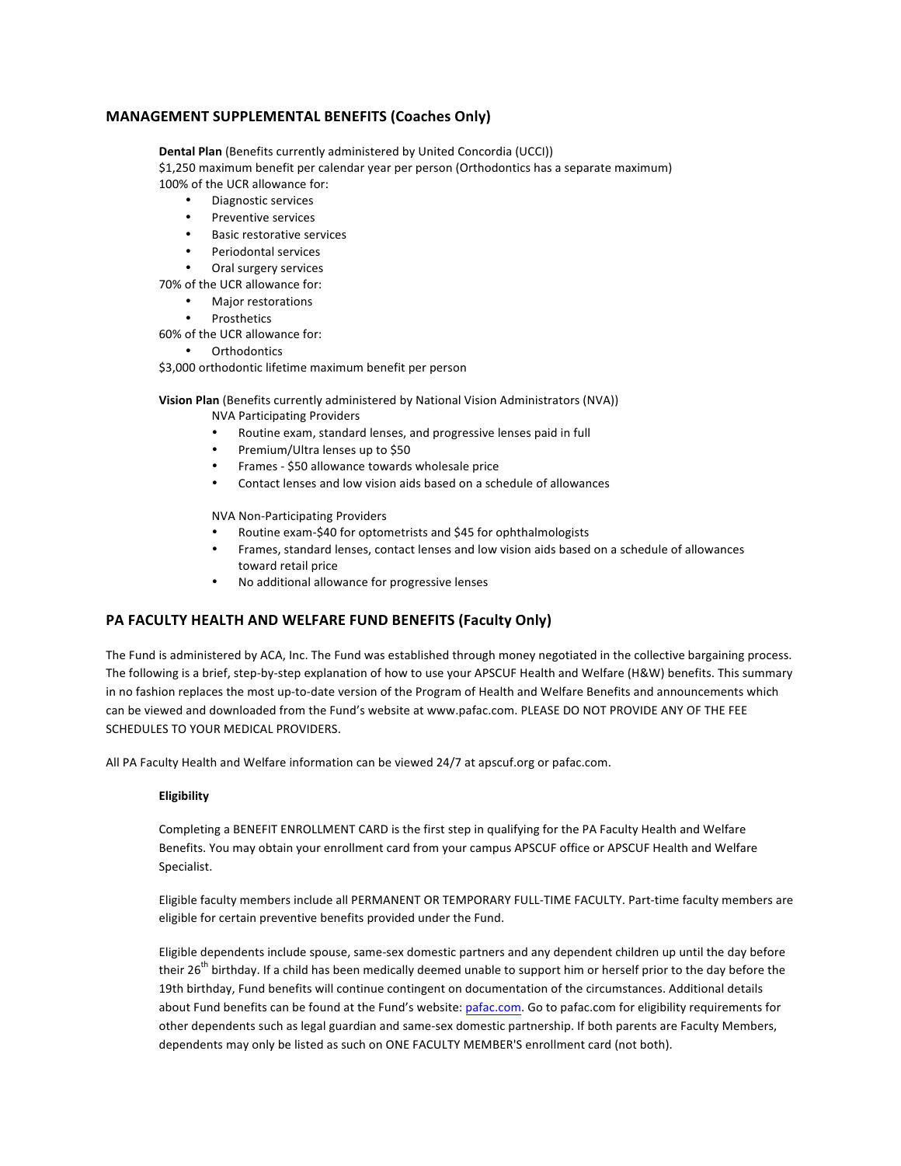# **MANAGEMENT SUPPLEMENTAL BENEFITS (Coaches Only)**

**Dental Plan** (Benefits currently administered by United Concordia (UCCI)) \$1,250 maximum benefit per calendar year per person (Orthodontics has a separate maximum) 100% of the UCR allowance for:

- Diagnostic services
- Preventive services
- **Basic restorative services**
- Periodontal services
- Oral surgery services

70% of the UCR allowance for:

- Major restorations
- **Prosthetics**

60% of the UCR allowance for:

**Orthodontics** 

\$3,000 orthodontic lifetime maximum benefit per person

**Vision Plan** (Benefits currently administered by National Vision Administrators (NVA))

**NVA Participating Providers** 

- Routine exam, standard lenses, and progressive lenses paid in full
- Premium/Ultra lenses up to \$50
- Frames \$50 allowance towards wholesale price
- Contact lenses and low vision aids based on a schedule of allowances

**NVA Non-Participating Providers** 

- Routine exam-\$40 for optometrists and \$45 for ophthalmologists
- Frames, standard lenses, contact lenses and low vision aids based on a schedule of allowances toward retail price
- No additional allowance for progressive lenses

# PA FACULTY HEALTH AND WELFARE FUND BENEFITS (Faculty Only)

The Fund is administered by ACA, Inc. The Fund was established through money negotiated in the collective bargaining process. The following is a brief, step-by-step explanation of how to use your APSCUF Health and Welfare (H&W) benefits. This summary in no fashion replaces the most up-to-date version of the Program of Health and Welfare Benefits and announcements which can be viewed and downloaded from the Fund's website at www.pafac.com. PLEASE DO NOT PROVIDE ANY OF THE FEE SCHEDULES TO YOUR MEDICAL PROVIDERS.

All PA Faculty Health and Welfare information can be viewed 24/7 at apscuf.org or pafac.com.

# **Eligibility**

Completing a BENEFIT ENROLLMENT CARD is the first step in qualifying for the PA Faculty Health and Welfare Benefits. You may obtain your enrollment card from your campus APSCUF office or APSCUF Health and Welfare Specialist.

Eligible faculty members include all PERMANENT OR TEMPORARY FULL-TIME FACULTY. Part-time faculty members are eligible for certain preventive benefits provided under the Fund.

Eligible dependents include spouse, same-sex domestic partners and any dependent children up until the day before their  $26^{th}$  birthday. If a child has been medically deemed unable to support him or herself prior to the day before the 19th birthday, Fund benefits will continue contingent on documentation of the circumstances. Additional details about Fund benefits can be found at the Fund's website: pafac.com. Go to pafac.com for eligibility requirements for other dependents such as legal guardian and same-sex domestic partnership. If both parents are Faculty Members, dependents may only be listed as such on ONE FACULTY MEMBER'S enrollment card (not both).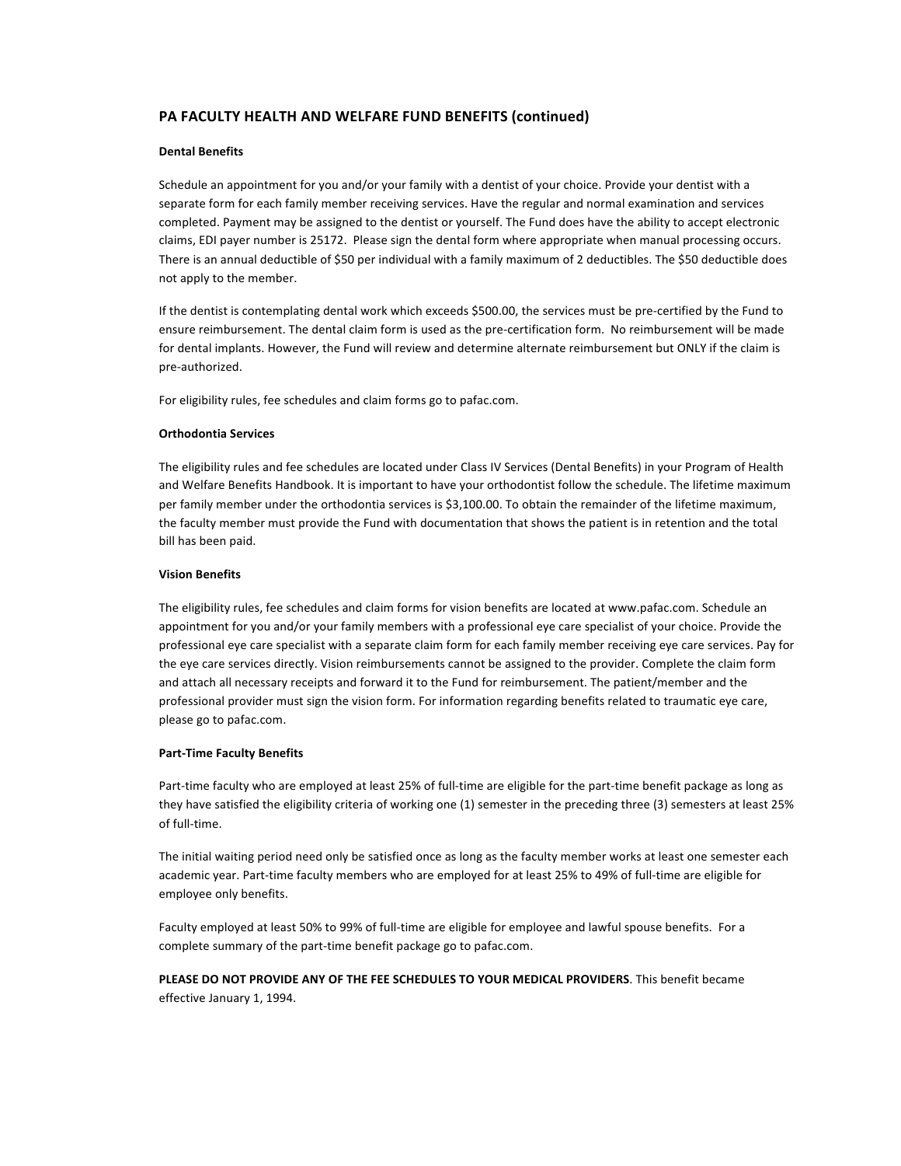# **PA FACULTY HEALTH AND WELFARE FUND BENEFITS (continued)**

## **Dental Benefits**

Schedule an appointment for you and/or your family with a dentist of your choice. Provide your dentist with a separate form for each family member receiving services. Have the regular and normal examination and services completed. Payment may be assigned to the dentist or yourself. The Fund does have the ability to accept electronic claims, EDI payer number is 25172. Please sign the dental form where appropriate when manual processing occurs. There is an annual deductible of \$50 per individual with a family maximum of 2 deductibles. The \$50 deductible does not apply to the member.

If the dentist is contemplating dental work which exceeds \$500.00, the services must be pre-certified by the Fund to ensure reimbursement. The dental claim form is used as the pre-certification form. No reimbursement will be made for dental implants. However, the Fund will review and determine alternate reimbursement but ONLY if the claim is pre-authorized. 

For eligibility rules, fee schedules and claim forms go to pafac.com.

### **Orthodontia Services**

The eligibility rules and fee schedules are located under Class IV Services (Dental Benefits) in your Program of Health and Welfare Benefits Handbook. It is important to have your orthodontist follow the schedule. The lifetime maximum per family member under the orthodontia services is \$3,100.00. To obtain the remainder of the lifetime maximum, the faculty member must provide the Fund with documentation that shows the patient is in retention and the total bill has been paid.

### **Vision Benefits**

The eligibility rules, fee schedules and claim forms for vision benefits are located at www.pafac.com. Schedule an appointment for you and/or your family members with a professional eye care specialist of your choice. Provide the professional eye care specialist with a separate claim form for each family member receiving eye care services. Pay for the eye care services directly. Vision reimbursements cannot be assigned to the provider. Complete the claim form and attach all necessary receipts and forward it to the Fund for reimbursement. The patient/member and the professional provider must sign the vision form. For information regarding benefits related to traumatic eye care, please go to pafac.com.

## **Part-Time Faculty Benefits**

Part-time faculty who are employed at least 25% of full-time are eligible for the part-time benefit package as long as they have satisfied the eligibility criteria of working one  $(1)$  semester in the preceding three  $(3)$  semesters at least 25% of full-time.

The initial waiting period need only be satisfied once as long as the faculty member works at least one semester each academic year. Part-time faculty members who are employed for at least 25% to 49% of full-time are eligible for employee only benefits.

Faculty employed at least 50% to 99% of full-time are eligible for employee and lawful spouse benefits. For a complete summary of the part-time benefit package go to pafac.com.

PLEASE DO NOT PROVIDE ANY OF THE FEE SCHEDULES TO YOUR MEDICAL PROVIDERS. This benefit became effective January 1, 1994.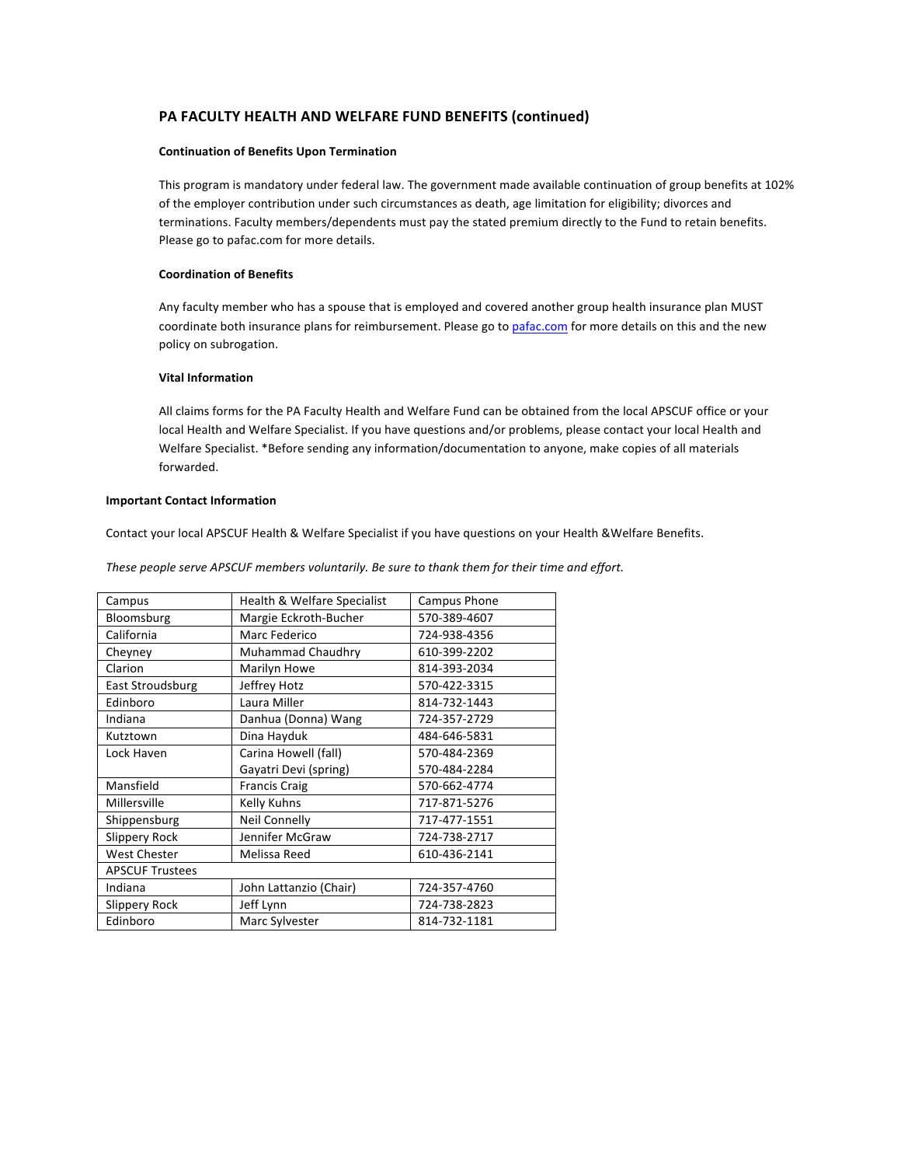# PA FACULTY HEALTH AND WELFARE FUND BENEFITS (continued)

### **Continuation of Benefits Upon Termination**

This program is mandatory under federal law. The government made available continuation of group benefits at 102% of the employer contribution under such circumstances as death, age limitation for eligibility; divorces and terminations. Faculty members/dependents must pay the stated premium directly to the Fund to retain benefits. Please go to pafac.com for more details.

### **Coordination of Benefits**

Any faculty member who has a spouse that is employed and covered another group health insurance plan MUST coordinate both insurance plans for reimbursement. Please go to pafac.com for more details on this and the new policy on subrogation.

### **Vital Information**

All claims forms for the PA Faculty Health and Welfare Fund can be obtained from the local APSCUF office or your local Health and Welfare Specialist. If you have questions and/or problems, please contact your local Health and Welfare Specialist. \*Before sending any information/documentation to anyone, make copies of all materials forwarded.

#### **Important Contact Information**

Contact your local APSCUF Health & Welfare Specialist if you have questions on your Health &Welfare Benefits.

These people serve APSCUF members voluntarily. Be sure to thank them for their time and effort.

| Campus                 | Health & Welfare Specialist | Campus Phone |
|------------------------|-----------------------------|--------------|
| Bloomsburg             | Margie Eckroth-Bucher       | 570-389-4607 |
| California             | Marc Federico               | 724-938-4356 |
| Cheyney                | Muhammad Chaudhry           | 610-399-2202 |
| Clarion                | Marilyn Howe                | 814-393-2034 |
| East Stroudsburg       | Jeffrey Hotz                | 570-422-3315 |
| Edinboro               | Laura Miller                | 814-732-1443 |
| Indiana                | Danhua (Donna) Wang         | 724-357-2729 |
| Kutztown               | Dina Hayduk                 | 484-646-5831 |
| Lock Haven             | Carina Howell (fall)        | 570-484-2369 |
|                        | Gayatri Devi (spring)       | 570-484-2284 |
| Mansfield              | <b>Francis Craig</b>        | 570-662-4774 |
| Millersville           | Kelly Kuhns                 | 717-871-5276 |
| Shippensburg           | <b>Neil Connelly</b>        | 717-477-1551 |
| <b>Slippery Rock</b>   | Jennifer McGraw             | 724-738-2717 |
| <b>West Chester</b>    | Melissa Reed                | 610-436-2141 |
| <b>APSCUF Trustees</b> |                             |              |
| Indiana                | John Lattanzio (Chair)      | 724-357-4760 |
| Slippery Rock          | Jeff Lynn                   | 724-738-2823 |
| Edinboro               | Marc Sylvester              | 814-732-1181 |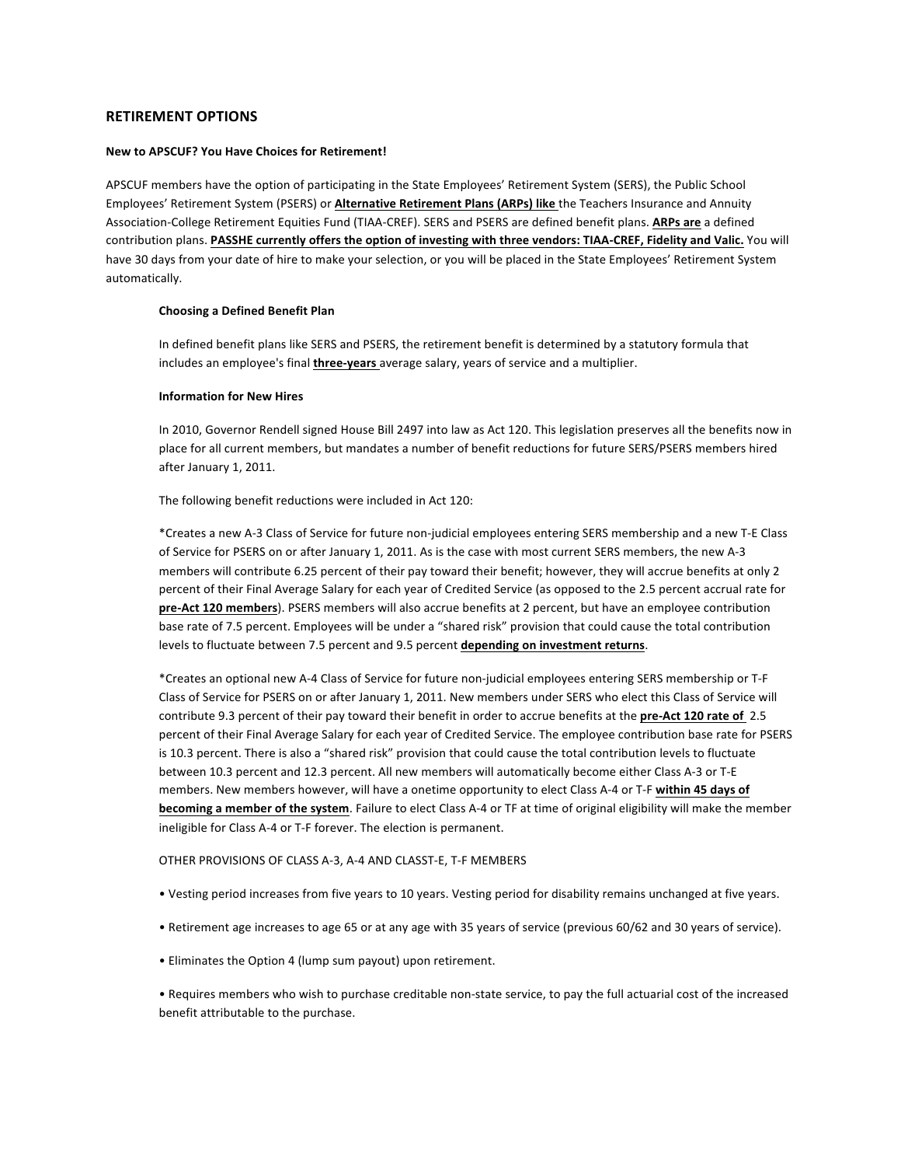# **RETIREMENT OPTIONS**

## **New to APSCUF? You Have Choices for Retirement!**

APSCUF members have the option of participating in the State Employees' Retirement System (SERS), the Public School Employees' Retirement System (PSERS) or **Alternative Retirement Plans (ARPs) like** the Teachers Insurance and Annuity Association-College Retirement Equities Fund (TIAA-CREF). SERS and PSERS are defined benefit plans. ARPs are a defined contribution plans. PASSHE currently offers the option of investing with three vendors: TIAA-CREF, Fidelity and Valic. You will have 30 days from your date of hire to make your selection, or you will be placed in the State Employees' Retirement System automatically.

### **Choosing a Defined Benefit Plan**

In defined benefit plans like SERS and PSERS, the retirement benefit is determined by a statutory formula that includes an employee's final *three-years* average salary, years of service and a multiplier.

#### **Information for New Hires**

In 2010, Governor Rendell signed House Bill 2497 into law as Act 120. This legislation preserves all the benefits now in place for all current members, but mandates a number of benefit reductions for future SERS/PSERS members hired after January 1, 2011.

The following benefit reductions were included in Act 120:

\*Creates a new A-3 Class of Service for future non-judicial employees entering SERS membership and a new T-E Class of Service for PSERS on or after January 1, 2011. As is the case with most current SERS members, the new A-3 members will contribute 6.25 percent of their pay toward their benefit; however, they will accrue benefits at only 2 percent of their Final Average Salary for each year of Credited Service (as opposed to the 2.5 percent accrual rate for pre-Act 120 members). PSERS members will also accrue benefits at 2 percent, but have an employee contribution base rate of 7.5 percent. Employees will be under a "shared risk" provision that could cause the total contribution levels to fluctuate between 7.5 percent and 9.5 percent depending on investment returns.

\*Creates an optional new A-4 Class of Service for future non-judicial employees entering SERS membership or T-F Class of Service for PSERS on or after January 1, 2011. New members under SERS who elect this Class of Service will contribute 9.3 percent of their pay toward their benefit in order to accrue benefits at the pre-Act 120 rate of 2.5 percent of their Final Average Salary for each year of Credited Service. The employee contribution base rate for PSERS is 10.3 percent. There is also a "shared risk" provision that could cause the total contribution levels to fluctuate between 10.3 percent and 12.3 percent. All new members will automatically become either Class A-3 or T-E members. New members however, will have a onetime opportunity to elect Class A-4 or T-F within 45 days of **becoming a member of the system**. Failure to elect Class A-4 or TF at time of original eligibility will make the member ineligible for Class A-4 or T-F forever. The election is permanent.

OTHER PROVISIONS OF CLASS A-3, A-4 AND CLASST-E, T-F MEMBERS

- Vesting period increases from five years to 10 years. Vesting period for disability remains unchanged at five years.
- Retirement age increases to age 65 or at any age with 35 years of service (previous 60/62 and 30 years of service).
- Eliminates the Option 4 (lump sum payout) upon retirement.

• Requires members who wish to purchase creditable non-state service, to pay the full actuarial cost of the increased benefit attributable to the purchase.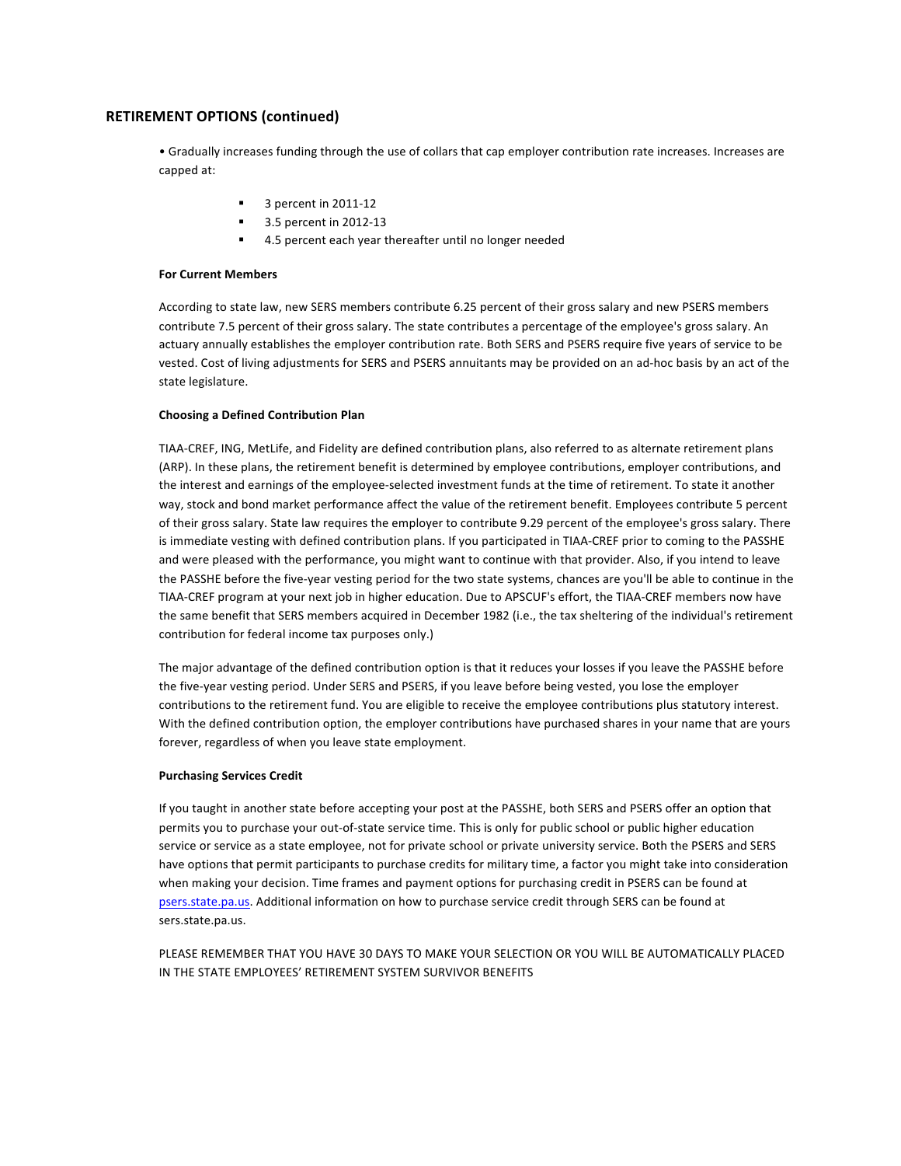# **RETIREMENT OPTIONS (continued)**

• Gradually increases funding through the use of collars that cap employer contribution rate increases. Increases are capped at:

- 3 percent in 2011-12
- § 3.5 percent in 2012-13
	- 4.5 percent each year thereafter until no longer needed

## **For Current Members**

According to state law, new SERS members contribute 6.25 percent of their gross salary and new PSERS members contribute 7.5 percent of their gross salary. The state contributes a percentage of the employee's gross salary. An actuary annually establishes the employer contribution rate. Both SERS and PSERS require five years of service to be vested. Cost of living adjustments for SERS and PSERS annuitants may be provided on an ad-hoc basis by an act of the state legislature.

## **Choosing a Defined Contribution Plan**

TIAA-CREF, ING, MetLife, and Fidelity are defined contribution plans, also referred to as alternate retirement plans (ARP). In these plans, the retirement benefit is determined by employee contributions, employer contributions, and the interest and earnings of the employee-selected investment funds at the time of retirement. To state it another way, stock and bond market performance affect the value of the retirement benefit. Employees contribute 5 percent of their gross salary. State law requires the employer to contribute 9.29 percent of the employee's gross salary. There is immediate vesting with defined contribution plans. If you participated in TIAA-CREF prior to coming to the PASSHE and were pleased with the performance, you might want to continue with that provider. Also, if you intend to leave the PASSHE before the five-year vesting period for the two state systems, chances are you'll be able to continue in the TIAA-CREF program at your next job in higher education. Due to APSCUF's effort, the TIAA-CREF members now have the same benefit that SERS members acquired in December 1982 (i.e., the tax sheltering of the individual's retirement contribution for federal income tax purposes only.)

The major advantage of the defined contribution option is that it reduces your losses if you leave the PASSHE before the five-year vesting period. Under SERS and PSERS, if you leave before being vested, you lose the employer contributions to the retirement fund. You are eligible to receive the employee contributions plus statutory interest. With the defined contribution option, the employer contributions have purchased shares in your name that are yours forever, regardless of when you leave state employment.

## **Purchasing Services Credit**

If you taught in another state before accepting your post at the PASSHE, both SERS and PSERS offer an option that permits you to purchase your out-of-state service time. This is only for public school or public higher education service or service as a state employee, not for private school or private university service. Both the PSERS and SERS have options that permit participants to purchase credits for military time, a factor you might take into consideration when making your decision. Time frames and payment options for purchasing credit in PSERS can be found at psers.state.pa.us. Additional information on how to purchase service credit through SERS can be found at sers.state.pa.us.

PLEASE REMEMBER THAT YOU HAVE 30 DAYS TO MAKE YOUR SELECTION OR YOU WILL BE AUTOMATICALLY PLACED IN THE STATE EMPLOYEES' RETIREMENT SYSTEM SURVIVOR BENEFITS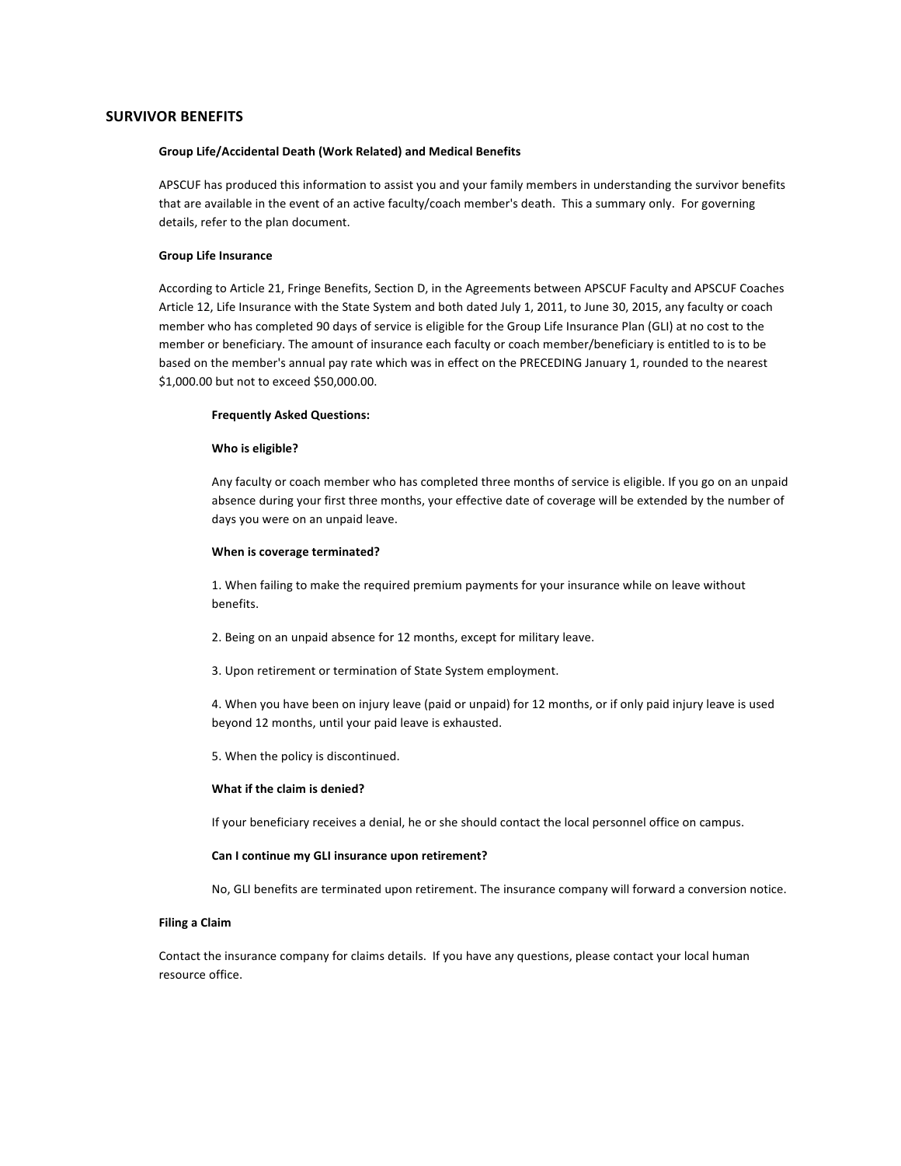## **SURVIVOR BENEFITS**

### **Group Life/Accidental Death (Work Related) and Medical Benefits**

APSCUF has produced this information to assist you and your family members in understanding the survivor benefits that are available in the event of an active faculty/coach member's death. This a summary only. For governing details, refer to the plan document.

### **Group Life Insurance**

According to Article 21, Fringe Benefits, Section D, in the Agreements between APSCUF Faculty and APSCUF Coaches Article 12, Life Insurance with the State System and both dated July 1, 2011, to June 30, 2015, any faculty or coach member who has completed 90 days of service is eligible for the Group Life Insurance Plan (GLI) at no cost to the member or beneficiary. The amount of insurance each faculty or coach member/beneficiary is entitled to is to be based on the member's annual pay rate which was in effect on the PRECEDING January 1, rounded to the nearest \$1,000.00 but not to exceed \$50,000.00.

### **Frequently Asked Questions:**

### **Who is eligible?**

Any faculty or coach member who has completed three months of service is eligible. If you go on an unpaid absence during your first three months, your effective date of coverage will be extended by the number of days you were on an unpaid leave.

#### **When is coverage terminated?**

1. When failing to make the required premium payments for your insurance while on leave without benefits.

2. Being on an unpaid absence for 12 months, except for military leave.

3. Upon retirement or termination of State System employment.

4. When you have been on injury leave (paid or unpaid) for 12 months, or if only paid injury leave is used beyond 12 months, until your paid leave is exhausted.

5. When the policy is discontinued.

#### **What if the claim is denied?**

If your beneficiary receives a denial, he or she should contact the local personnel office on campus.

#### Can I continue my GLI insurance upon retirement?

No, GLI benefits are terminated upon retirement. The insurance company will forward a conversion notice.

## **Filing a Claim**

Contact the insurance company for claims details. If you have any questions, please contact your local human resource office.